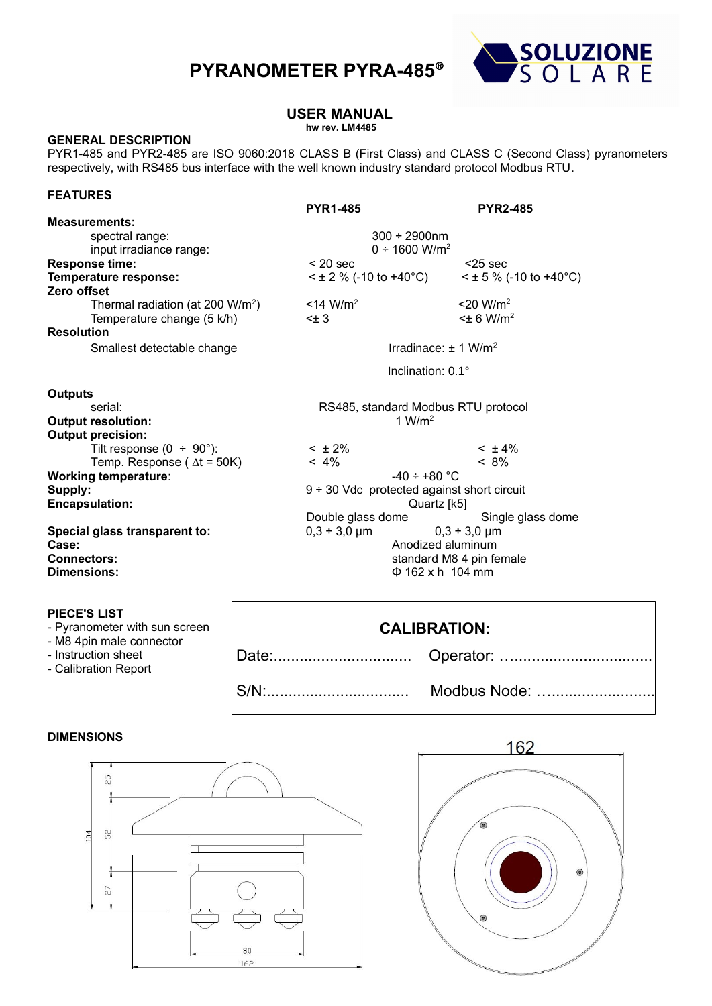# **PYRANOMETER PYRA-485**



# **USER MANUAL**

### **hw rev. LM4485**

#### **GENERAL DESCRIPTION**

PYR1-485 and PYR2-485 are ISO 9060:2018 CLASS B (First Class) and CLASS C (Second Class) pyranometers respectively, with RS485 bus interface with the well known industry standard protocol Modbus RTU.

#### **FEATURES**

|                                              | <b>PYR1-485</b>                              | <b>PYR2-485</b>             |  |  |
|----------------------------------------------|----------------------------------------------|-----------------------------|--|--|
| <b>Measurements:</b>                         |                                              |                             |  |  |
| spectral range:                              | $300 \div 2900$ nm                           |                             |  |  |
| input irradiance range:                      | $0 \div 1600$ W/m <sup>2</sup>               |                             |  |  |
| <b>Response time:</b>                        | $< 20$ sec                                   | $<$ 25 sec                  |  |  |
| Temperature response:                        | $<$ ± 2 % (-10 to +40°C)                     | $\leq$ ± 5 % (-10 to +40°C) |  |  |
| Zero offset                                  |                                              |                             |  |  |
| Thermal radiation (at 200 W/m <sup>2</sup> ) | $<$ 14 W/m <sup>2</sup>                      | $<$ 20 W/m <sup>2</sup>     |  |  |
| Temperature change (5 k/h)                   | $<\pm$ 3                                     | $\leq$ 6 W/m <sup>2</sup>   |  |  |
| <b>Resolution</b>                            |                                              |                             |  |  |
| Smallest detectable change                   | Irradinace: $\pm$ 1 W/m <sup>2</sup>         |                             |  |  |
|                                              | Inclination: $0.1^\circ$                     |                             |  |  |
| <b>Outputs</b>                               |                                              |                             |  |  |
| serial:                                      | RS485, standard Modbus RTU protocol          |                             |  |  |
| <b>Output resolution:</b>                    | 1 W/m <sup>2</sup>                           |                             |  |  |
| <b>Output precision:</b>                     |                                              |                             |  |  |
| Tilt response $(0 \div 90^\circ)$ :          | $< \pm 2\%$                                  | $< \pm 4\%$                 |  |  |
| Temp. Response ( $\Delta t = 50K$ )          | $< 4\%$                                      | $< 8\%$                     |  |  |
| <b>Working temperature:</b>                  | $-40 \div +80$ °C                            |                             |  |  |
| Supply:                                      | $9 ÷ 30$ Vdc protected against short circuit |                             |  |  |
| <b>Encapsulation:</b>                        | Quartz [k5]                                  |                             |  |  |
|                                              | Double glass dome                            | Single glass dome           |  |  |
| Special glass transparent to:                | $0,3 \div 3,0 \ \mu m$                       | $0,3 \div 3,0 \mu m$        |  |  |
| Case:                                        | Anodized aluminum                            |                             |  |  |
| <b>Connectors:</b>                           | standard M8 4 pin female                     |                             |  |  |
| Dimensions:                                  | $\Phi$ 162 x h 104 mm                        |                             |  |  |
|                                              |                                              |                             |  |  |
| <b>PIECE'S LIST</b>                          |                                              |                             |  |  |

- Pyranometer with sun screen
- M8 4pin male connector
- Instruction sheet
- Calibration Report

## **CALIBRATION:**

S/N:................................. Modbus Node: …........................

Date:................................ Operator: …................................

#### **DIMENSIONS**



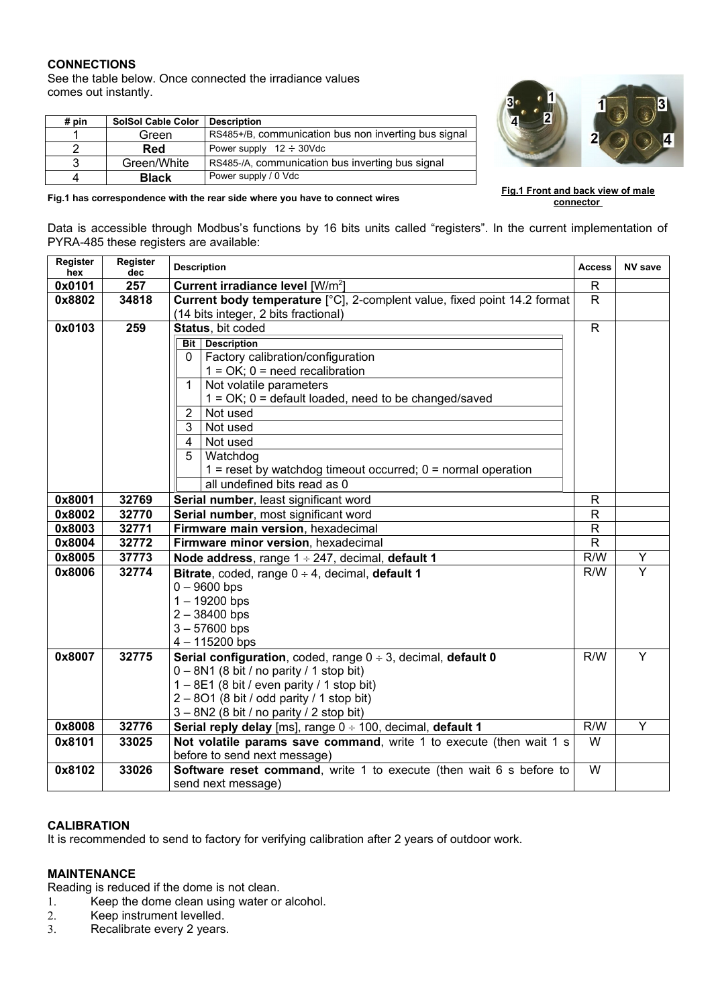#### **CONNECTIONS**

See the table below. Once connected the irradiance values comes out instantly.

**Fig.1 has correspondence with the rear side where you have to connect wires**

| # pin | <b>SolSol Cable Color</b> | <b>Description</b>                                   |
|-------|---------------------------|------------------------------------------------------|
|       | Green                     | RS485+/B, communication bus non inverting bus signal |
|       | Red                       | Power supply $12 \div 30$ Vdc                        |
| 3     | Green/White               | RS485-/A, communication bus inverting bus signal     |
| 4     | <b>Black</b>              | Power supply / 0 Vdc                                 |



**Fig.1 Front and back view of male connector** 

Data is accessible through Modbus's functions by 16 bits units called "registers". In the current implementation of PYRA-485 these registers are available:

| Register<br>hex | Register<br>dec | <b>Description</b>                                                                                               | <b>Access</b> | <b>NV save</b>          |
|-----------------|-----------------|------------------------------------------------------------------------------------------------------------------|---------------|-------------------------|
| 0x0101          | 257             | Current irradiance level [W/m <sup>2</sup> ]                                                                     |               |                         |
| 0x8802          | 34818           | Current body temperature [°C], 2-complent value, fixed point 14.2 format<br>(14 bits integer, 2 bits fractional) |               |                         |
| 0x0103          | 259             | Status, bit coded                                                                                                |               |                         |
|                 |                 | <b>Description</b><br>Bit                                                                                        |               |                         |
|                 |                 | Factory calibration/configuration<br>0                                                                           |               |                         |
|                 |                 | $1 = OK$ ; $0 = need recalibration$                                                                              |               |                         |
|                 |                 | Not volatile parameters<br>$\mathbf{1}$                                                                          |               |                         |
|                 |                 | $1 = OK$ ; $0 = default$ loaded, need to be changed/saved                                                        |               |                         |
|                 |                 | $\overline{2}$<br>Not used                                                                                       |               |                         |
|                 |                 | 3<br>Not used                                                                                                    |               |                         |
|                 |                 | Not used<br>4                                                                                                    |               |                         |
|                 |                 | 5<br>Watchdog                                                                                                    |               |                         |
|                 |                 | $1 =$ reset by watchdog timeout occurred; $0 =$ normal operation                                                 |               |                         |
|                 |                 | all undefined bits read as 0                                                                                     |               |                         |
| 0x8001          | 32769           | Serial number, least significant word                                                                            | R             |                         |
| 0x8002          | 32770           | Serial number, most significant word                                                                             | R             |                         |
| 0x8003          | 32771           | Firmware main version, hexadecimal                                                                               | $\mathsf R$   |                         |
| 0x8004          | 32772           | Firmware minor version, hexadecimal                                                                              | $\mathsf{R}$  |                         |
| 0x8005          | 37773           | Node address, range $1 \div 247$ , decimal, default 1                                                            | R/W           | Y                       |
| 0x8006          | 32774           | Bitrate, coded, range $0 \div 4$ , decimal, default 1                                                            | R/W           | $\overline{Y}$          |
|                 |                 | $0 - 9600$ bps                                                                                                   |               |                         |
|                 |                 | $1 - 19200$ bps                                                                                                  |               |                         |
|                 |                 | $2 - 38400$ bps                                                                                                  |               |                         |
|                 |                 | $3 - 57600$ bps                                                                                                  |               |                         |
|                 |                 | $4 - 115200$ bps                                                                                                 |               |                         |
| 0x8007          | 32775           | <b>Serial configuration, coded, range <math>0 \div 3</math>, decimal, default 0</b>                              | R/W           | Y                       |
|                 |                 | $0 - 8N1$ (8 bit / no parity / 1 stop bit)                                                                       |               |                         |
|                 |                 | $1 - 8E1$ (8 bit / even parity / 1 stop bit)                                                                     |               |                         |
|                 |                 | $2 - 801$ (8 bit / odd parity / 1 stop bit)                                                                      |               |                         |
|                 |                 | $3 - 8N2$ (8 bit / no parity / 2 stop bit)                                                                       |               |                         |
| 0x8008          | 32776           | Serial reply delay [ms], range $0 \div 100$ , decimal, default 1                                                 | R/W           | $\overline{\mathsf{Y}}$ |
| 0x8101          | 33025           | Not volatile params save command, write 1 to execute (then wait 1 s                                              | W             |                         |
|                 |                 | before to send next message)                                                                                     |               |                         |
| 0x8102          | 33026           | Software reset command, write 1 to execute (then wait 6 s before to                                              | W             |                         |
|                 |                 | send next message)                                                                                               |               |                         |

#### **CALIBRATION**

It is recommended to send to factory for verifying calibration after 2 years of outdoor work.

#### **MAINTENANCE**

Reading is reduced if the dome is not clean.

- 1. Keep the dome clean using water or alcohol.
- 2. Keep instrument levelled.
- 3. Recalibrate every 2 years.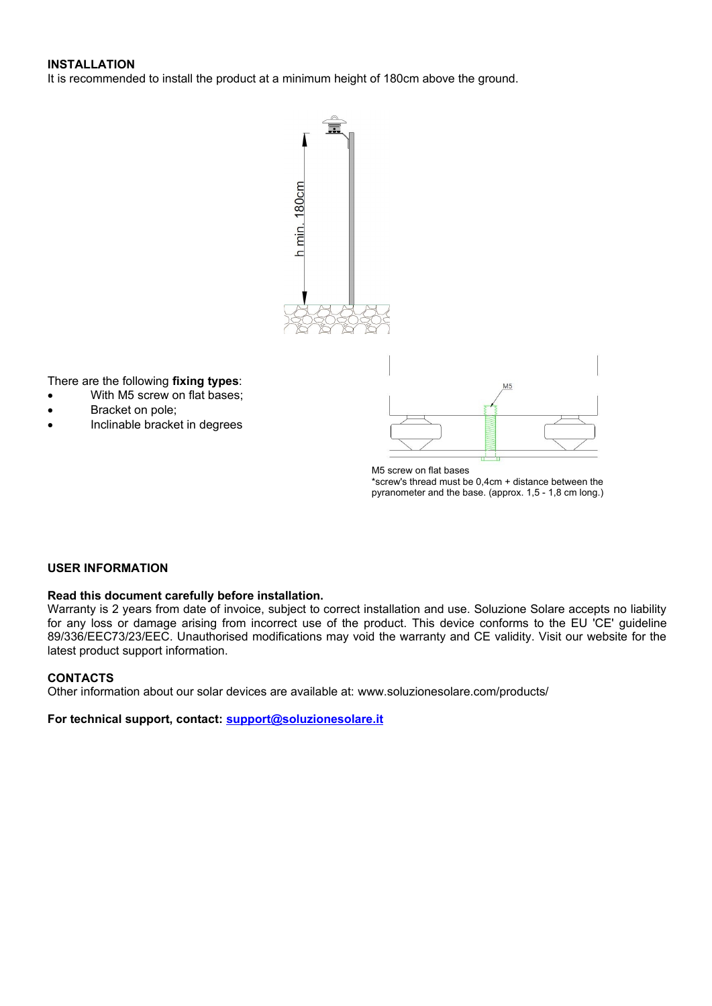#### **INSTALLATION**

It is recommended to install the product at a minimum height of 180cm above the ground.



M5 screw on flat bases \*screw's thread must be 0,4cm + distance between the pyranometer and the base. (approx. 1,5 - 1,8 cm long.)

#### **USER INFORMATION**

There are the following **fixing types**:

Bracket on pole;

With M5 screw on flat bases;

Inclinable bracket in degrees

#### **Read this document carefully before installation.**

Warranty is 2 years from date of invoice, subject to correct installation and use. Soluzione Solare accepts no liability for any loss or damage arising from incorrect use of the product. This device conforms to the EU 'CE' guideline 89/336/EEC73/23/EEC. Unauthorised modifications may void the warranty and CE validity. Visit our website for the latest product support information.

#### **CONTACTS**

Other information about our solar devices are available at: www.soluzionesolare.com/products/

For technical support, contact: support@soluzionesolare.it